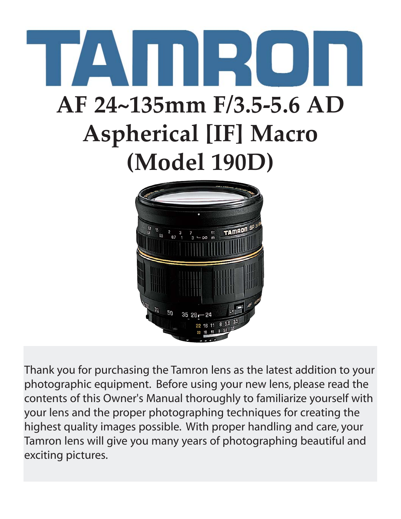# **THE AF 24~135mm F/3.5-5.6 AD Aspherical [IF] Macro (Model 190D)**



Thank you for purchasing the Tamron lens as the latest addition to your photographic equipment. Before using your new lens, please read the contents of this Owner's Manual thoroughly to familiarize yourself with your lens and the proper photographing techniques for creating the highest quality images possible. With proper handling and care, your Tamron lens will give you many years of photographing beautiful and exciting pictures.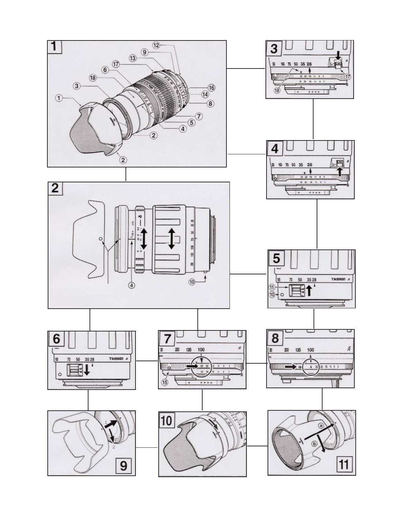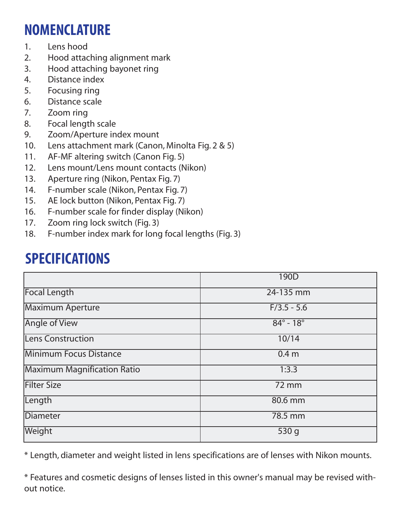### **NOMENCLATURE**

- 1. Lens hood
- 2. Hood attaching alignment mark
- 3. Hood attaching bayonet ring
- 4. Distance index
- 5. Focusing ring
- 6. Distance scale
- 7. Zoom ring
- 8. Focal length scale
- 9. Zoom/Aperture index mount
- 10. Lens attachment mark (Canon, Minolta Fig. 2 & 5)
- 11. AF-MF altering switch (Canon Fig. 5)
- 12. Lens mount/Lens mount contacts (Nikon)
- 13. Aperture ring (Nikon, Pentax Fig. 7)
- 14. F-number scale (Nikon, Pentax Fig. 7)
- 15. AE lock button (Nikon, Pentax Fig. 7)
- 16. F-number scale for finder display (Nikon)
- 17. Zoom ring lock switch (Fig. 3)
- 18. F-number index mark for long focal lengths (Fig. 3)

### **SPECIFICATIONS**

|                                    | 190D                      |
|------------------------------------|---------------------------|
| <b>Focal Length</b>                | 24-135 mm                 |
| Maximum Aperture                   | $F/3.5 - 5.6$             |
| <b>Angle of View</b>               | $84^{\circ} - 18^{\circ}$ |
| Lens Construction                  | 10/14                     |
| <b>Minimum Focus Distance</b>      | 0.4 <sub>m</sub>          |
| <b>Maximum Magnification Ratio</b> | 1:3.3                     |
| <b>Filter Size</b>                 | 72 mm                     |
| Length                             | 80.6 mm                   |
| <b>Diameter</b>                    | 78.5 mm                   |
| Weight                             | 530 g                     |

\* Length, diameter and weight listed in lens specifications are of lenses with Nikon mounts.

\* Features and cosmetic designs of lenses listed in this owner's manual may be revised without notice.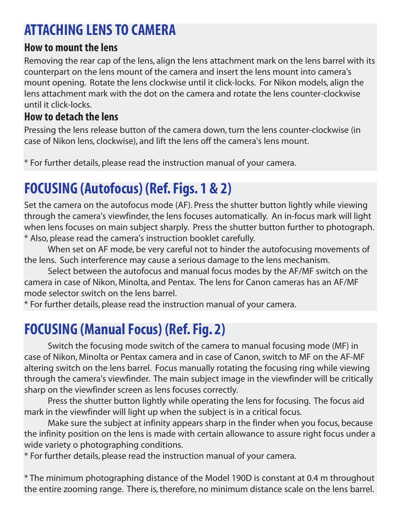### **ATTACHING LENS TO CAMERA**

#### **How to mount the lens**

Removing the rear cap of the lens, align the lens attachment mark on the lens barrel with its counterpart on the lens mount of the camera and insert the lens mount into camera's mount opening. Rotate the lens clockwise until it click-locks. For Nikon models, align the lens attachment mark with the dot on the camera and rotate the lens counter-clockwise until it click-locks.

#### **How to detach the lens**

Pressing the lens release button of the camera down, turn the lens counter-clockwise (in case of Nikon lens, clockwise), and lift the lens off the camera's lens mount.

\* For further details, please read the instruction manual of your camera.

## **FOCUSING (Autofocus) (Ref. Figs. 1 & 2)**

Set the camera on the autofocus mode (AF). Press the shutter button lightly while viewing through the camera's viewfinder, the lens focuses automatically. An in-focus mark will light when lens focuses on main subject sharply. Press the shutter button further to photograph. \* Also, please read the camera's instruction booklet carefully.

When set on AF mode, be very careful not to hinder the autofocusing movements of the lens. Such interference may cause a serious damage to the lens mechanism.

Select between the autofocus and manual focus modes by the AF/MF switch on the camera in case of Nikon, Minolta, and Pentax. The lens for Canon cameras has an AF/MF mode selector switch on the lens barrel.

\* For further details, please read the instruction manual of your camera.

# **FOCUSING (Manual Focus) (Ref. Fig. 2)**

Switch the focusing mode switch of the camera to manual focusing mode (MF) in case of Nikon, Minolta or Pentax camera and in case of Canon, switch to MF on the AF-MF altering switch on the lens barrel. Focus manually rotating the focusing ring while viewing through the camera's viewfinder. The main subject image in the viewfinder will be critically sharp on the viewfinder screen as lens focuses correctly.

Press the shutter button lightly while operating the lens for focusing. The focus aid mark in the viewfinder will light up when the subject is in a critical focus.

Make sure the subject at infinity appears sharp in the finder when you focus, because the infinity position on the lens is made with certain allowance to assure right focus under a wide variety o photographing conditions.

\* For further details, please read the instruction manual of your camera.

\* The minimum photographing distance of the Model 190D is constant at 0.4 m throughout the entire zooming range. There is, therefore, no minimum distance scale on the lens barrel.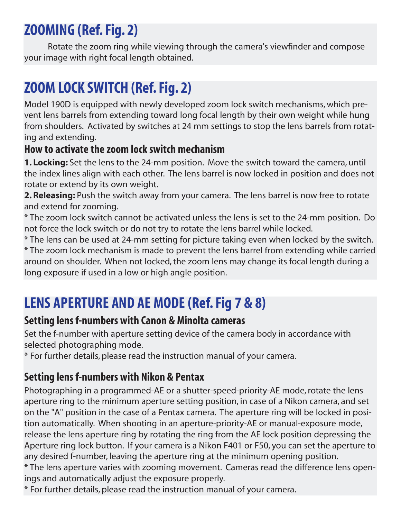### **ZOOMING (Ref. Fig. 2)**

Rotate the zoom ring while viewing through the camera's viewfinder and compose your image with right focal length obtained.

# **ZOOM LOCK SWITCH (Ref. Fig. 2)**

Model 190D is equipped with newly developed zoom lock switch mechanisms, which prevent lens barrels from extending toward long focal length by their own weight while hung from shoulders. Activated by switches at 24 mm settings to stop the lens barrels from rotating and extending.

#### **How to activate the zoom lock switch mechanism**

**1. Locking:** Set the lens to the 24-mm position. Move the switch toward the camera, until the index lines align with each other. The lens barrel is now locked in position and does not rotate or extend by its own weight.

**2. Releasing:** Push the switch away from your camera. The lens barrel is now free to rotate and extend for zooming.

\* The zoom lock switch cannot be activated unless the lens is set to the 24-mm position. Do not force the lock switch or do not try to rotate the lens barrel while locked.

\* The lens can be used at 24-mm setting for picture taking even when locked by the switch. \* The zoom lock mechanism is made to prevent the lens barrel from extending while carried around on shoulder. When not locked, the zoom lens may change its focal length during a long exposure if used in a low or high angle position.

# **LENS APERTURE AND AE MODE (Ref. Fig 7 & 8)**

#### **Setting lens f-numbers with Canon & Minolta cameras**

Set the f-number with aperture setting device of the camera body in accordance with selected photographing mode.

\* For further details, please read the instruction manual of your camera.

#### **Setting lens f-numbers with Nikon & Pentax**

Photographing in a programmed-AE or a shutter-speed-priority-AE mode, rotate the lens aperture ring to the minimum aperture setting position, in case of a Nikon camera, and set on the "A" position in the case of a Pentax camera. The aperture ring will be locked in position automatically. When shooting in an aperture-priority-AE or manual-exposure mode, release the lens aperture ring by rotating the ring from the AE lock position depressing the Aperture ring lock button. If your camera is a Nikon F401 or F50, you can set the aperture to any desired f-number, leaving the aperture ring at the minimum opening position.

\* The lens aperture varies with zooming movement. Cameras read the difference lens openings and automatically adjust the exposure properly.

\* For further details, please read the instruction manual of your camera.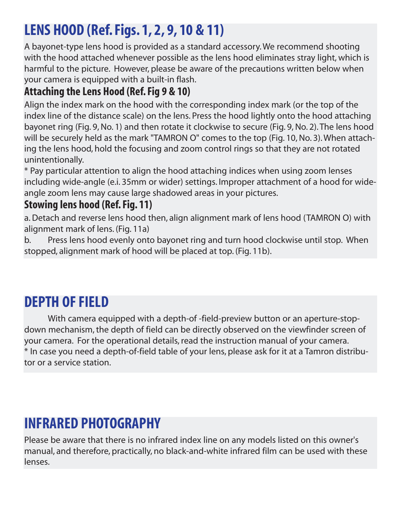## **LENS HOOD (Ref. Figs. 1, 2, 9, 10 & 11)**

A bayonet-type lens hood is provided as a standard accessory. We recommend shooting with the hood attached whenever possible as the lens hood eliminates stray light, which is harmful to the picture. However, please be aware of the precautions written below when your camera is equipped with a built-in flash.

#### **Attaching the Lens Hood (Ref. Fig 9 & 10)**

Align the index mark on the hood with the corresponding index mark (or the top of the index line of the distance scale) on the lens. Press the hood lightly onto the hood attaching bayonet ring (Fig. 9, No. 1) and then rotate it clockwise to secure (Fig. 9, No. 2). The lens hood will be securely held as the mark "TAMRON O" comes to the top (Fig. 10, No. 3). When attaching the lens hood, hold the focusing and zoom control rings so that they are not rotated unintentionally.

\* Pay particular attention to align the hood attaching indices when using zoom lenses including wide-angle (e.i. 35mm or wider) settings. Improper attachment of a hood for wideangle zoom lens may cause large shadowed areas in your pictures.

#### **Stowing lens hood (Ref. Fig. 11)**

a. Detach and reverse lens hood then, align alignment mark of lens hood (TAMRON O) with alignment mark of lens. (Fig. 11a)

b. Press lens hood evenly onto bayonet ring and turn hood clockwise until stop. When stopped, alignment mark of hood will be placed at top. (Fig. 11b).

### **DEPTH OF FIELD**

With camera equipped with a depth-of -field-preview button or an aperture-stopdown mechanism, the depth of field can be directly observed on the viewfinder screen of your camera. For the operational details, read the instruction manual of your camera. \* In case you need a depth-of-field table of your lens, please ask for it at a Tamron distributor or a service station.

### **INFRARED PHOTOGRAPHY**

Please be aware that there is no infrared index line on any models listed on this owner's manual, and therefore, practically, no black-and-white infrared film can be used with these lenses.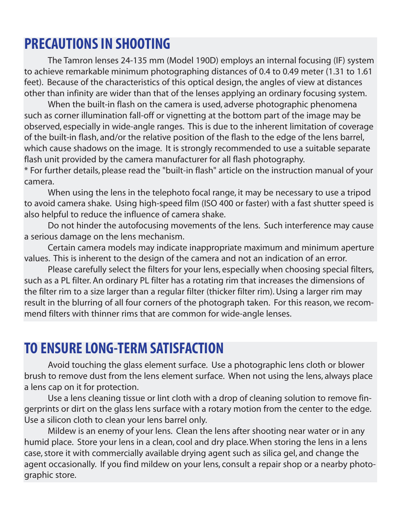### **PRECAUTIONS IN SHOOTING**

The Tamron lenses 24-135 mm (Model 190D) employs an internal focusing (IF) system to achieve remarkable minimum photographing distances of 0.4 to 0.49 meter (1.31 to 1.61 feet). Because of the characteristics of this optical design, the angles of view at distances other than infinity are wider than that of the lenses applying an ordinary focusing system.

When the built-in flash on the camera is used, adverse photographic phenomena such as corner illumination fall-off or vignetting at the bottom part of the image may be observed, especially in wide-angle ranges. This is due to the inherent limitation of coverage of the built-in flash, and/or the relative position of the flash to the edge of the lens barrel, which cause shadows on the image. It is strongly recommended to use a suitable separate flash unit provided by the camera manufacturer for all flash photography.

\* For further details, please read the "built-in flash" article on the instruction manual of your camera.

When using the lens in the telephoto focal range, it may be necessary to use a tripod to avoid camera shake. Using high-speed film (ISO 400 or faster) with a fast shutter speed is also helpful to reduce the influence of camera shake.

Do not hinder the autofocusing movements of the lens. Such interference may cause a serious damage on the lens mechanism.

Certain camera models may indicate inappropriate maximum and minimum aperture values. This is inherent to the design of the camera and not an indication of an error.

Please carefully select the filters for your lens, especially when choosing special filters, such as a PL filter. An ordinary PL filter has a rotating rim that increases the dimensions of the filter rim to a size larger than a regular filter (thicker filter rim). Using a larger rim may result in the blurring of all four corners of the photograph taken. For this reason, we recommend filters with thinner rims that are common for wide-angle lenses.

### **TO ENSURE LONG-TERM SATISFACTION**

Avoid touching the glass element surface. Use a photographic lens cloth or blower brush to remove dust from the lens element surface. When not using the lens, always place a lens cap on it for protection.

Use a lens cleaning tissue or lint cloth with a drop of cleaning solution to remove fingerprints or dirt on the glass lens surface with a rotary motion from the center to the edge. Use a silicon cloth to clean your lens barrel only.

Mildew is an enemy of your lens. Clean the lens after shooting near water or in any humid place. Store your lens in a clean, cool and dry place. When storing the lens in a lens case, store it with commercially available drying agent such as silica gel, and change the agent occasionally. If you find mildew on your lens, consult a repair shop or a nearby photographic store.